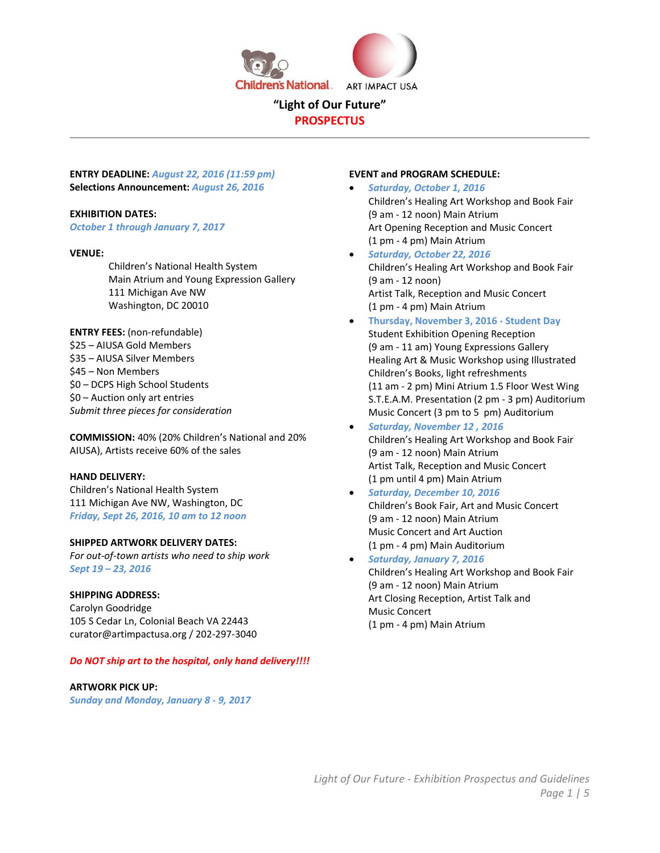

**PROSPECTUS** 

**ENTRY DEADLINE:** *August 22, 2016 (11:59 pm)* **Selections Announcement:** *August 26, 2016* 

## **EXHIBITION DATES:**

*October 1 through January 7, 2017*

#### **VENUE:**

Children's National Health System Main Atrium and Young Expression Gallery 111 Michigan Ave NW Washington, DC 20010

**ENTRY FEES:** (non‐refundable) \$25 – AIUSA Gold Members \$35 – AIUSA Silver Members \$45 – Non Members \$0 – DCPS High School Students \$0 – Auction only art entries *Submit three pieces for consideration* 

**COMMISSION:** 40% (20% Children's National and 20% AIUSA), Artists receive 60% of the sales

## **HAND DELIVERY:**

Children's National Health System 111 Michigan Ave NW, Washington, DC *Friday, Sept 26, 2016, 10 am to 12 noon* 

## **SHIPPED ARTWORK DELIVERY DATES:**

*For out‐of‐town artists who need to ship work Sept 19 – 23, 2016*

#### **SHIPPING ADDRESS:**

Carolyn Goodridge 105 S Cedar Ln, Colonial Beach VA 22443 curator@artimpactusa.org / 202‐297‐3040

#### *Do NOT ship art to the hospital, only hand delivery!!!!*

#### **ARTWORK PICK UP:**

*Sunday and Monday, January 8 ‐ 9, 2017*

## **EVENT and PROGRAM SCHEDULE:**

- *Saturday, October 1, 2016* Children's Healing Art Workshop and Book Fair (9 am ‐ 12 noon) Main Atrium Art Opening Reception and Music Concert (1 pm ‐ 4 pm) Main Atrium
- *Saturday, October 22, 2016*  Children's Healing Art Workshop and Book Fair (9 am ‐ 12 noon) Artist Talk, Reception and Music Concert (1 pm ‐ 4 pm) Main Atrium
- **Thursday, November 3, 2016 ‐ Student Day** Student Exhibition Opening Reception (9 am ‐ 11 am) Young Expressions Gallery Healing Art & Music Workshop using Illustrated Children's Books, light refreshments (11 am ‐ 2 pm) Mini Atrium 1.5 Floor West Wing S.T.E.A.M. Presentation (2 pm ‐ 3 pm) Auditorium Music Concert (3 pm to 5 pm) Auditorium
- *Saturday, November 12 , 2016*  Children's Healing Art Workshop and Book Fair (9 am ‐ 12 noon) Main Atrium Artist Talk, Reception and Music Concert (1 pm until 4 pm) Main Atrium
- *Saturday, December 10, 2016*  Children's Book Fair, Art and Music Concert (9 am ‐ 12 noon) Main Atrium Music Concert and Art Auction (1 pm ‐ 4 pm) Main Auditorium
- *Saturday, January 7, 2016*  Children's Healing Art Workshop and Book Fair (9 am ‐ 12 noon) Main Atrium Art Closing Reception, Artist Talk and Music Concert (1 pm ‐ 4 pm) Main Atrium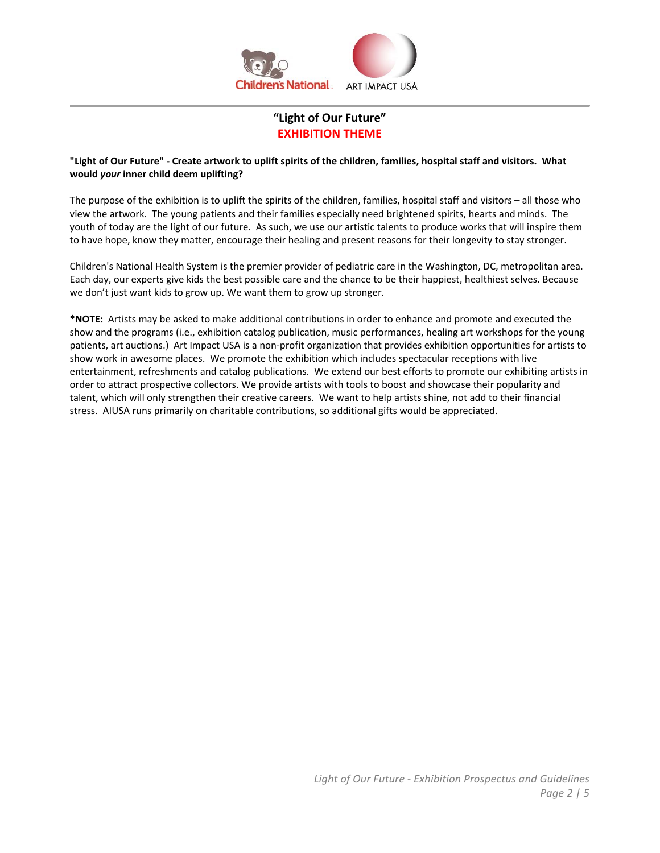

# **"Light of Our Future" EXHIBITION THEME**

## **"Light of Our Future" ‐ Create artwork to uplift spirits of the children, families, hospital staff and visitors. What would** *your* **inner child deem uplifting?**

The purpose of the exhibition is to uplift the spirits of the children, families, hospital staff and visitors – all those who view the artwork. The young patients and their families especially need brightened spirits, hearts and minds. The youth of today are the light of our future. As such, we use our artistic talents to produce works that will inspire them to have hope, know they matter, encourage their healing and present reasons for their longevity to stay stronger.

Children's National Health System is the premier provider of pediatric care in the Washington, DC, metropolitan area. Each day, our experts give kids the best possible care and the chance to be their happiest, healthiest selves. Because we don't just want kids to grow up. We want them to grow up stronger.

**\*NOTE:** Artists may be asked to make additional contributions in order to enhance and promote and executed the show and the programs (i.e., exhibition catalog publication, music performances, healing art workshops for the young patients, art auctions.) Art Impact USA is a non‐profit organization that provides exhibition opportunities for artists to show work in awesome places. We promote the exhibition which includes spectacular receptions with live entertainment, refreshments and catalog publications. We extend our best efforts to promote our exhibiting artists in order to attract prospective collectors. We provide artists with tools to boost and showcase their popularity and talent, which will only strengthen their creative careers. We want to help artists shine, not add to their financial stress. AIUSA runs primarily on charitable contributions, so additional gifts would be appreciated.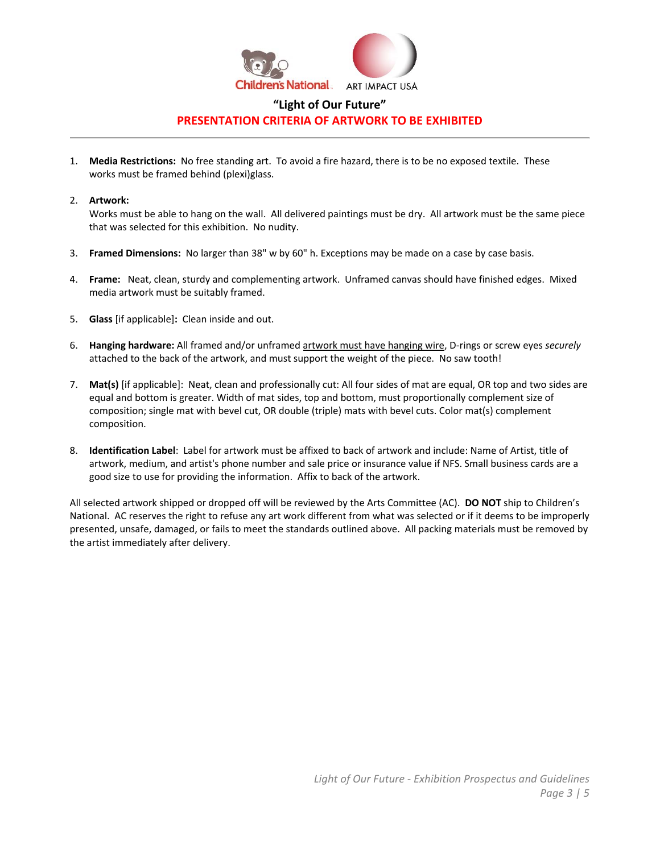

## **"Light of Our Future" PRESENTATION CRITERIA OF ARTWORK TO BE EXHIBITED**

1. **Media Restrictions:** No free standing art. To avoid a fire hazard, there is to be no exposed textile. These works must be framed behind (plexi)glass.

#### 2. **Artwork:**

Works must be able to hang on the wall. All delivered paintings must be dry. All artwork must be the same piece that was selected for this exhibition. No nudity.

- 3. **Framed Dimensions:** No larger than 38" w by 60" h. Exceptions may be made on a case by case basis.
- 4. **Frame:**  Neat, clean, sturdy and complementing artwork. Unframed canvas should have finished edges. Mixed media artwork must be suitably framed.
- 5. **Glass** [if applicable]**:** Clean inside and out.
- 6. **Hanging hardware:** All framed and/or unframed artwork must have hanging wire, D‐rings or screw eyes *securely* attached to the back of the artwork, and must support the weight of the piece. No saw tooth!
- 7. **Mat(s)** [if applicable]: Neat, clean and professionally cut: All four sides of mat are equal, OR top and two sides are equal and bottom is greater. Width of mat sides, top and bottom, must proportionally complement size of composition; single mat with bevel cut, OR double (triple) mats with bevel cuts. Color mat(s) complement composition.
- 8. **Identification Label**: Label for artwork must be affixed to back of artwork and include: Name of Artist, title of artwork, medium, and artist's phone number and sale price or insurance value if NFS. Small business cards are a good size to use for providing the information. Affix to back of the artwork.

All selected artwork shipped or dropped off will be reviewed by the Arts Committee (AC). **DO NOT** ship to Children's National. AC reserves the right to refuse any art work different from what was selected or if it deems to be improperly presented, unsafe, damaged, or fails to meet the standards outlined above. All packing materials must be removed by the artist immediately after delivery.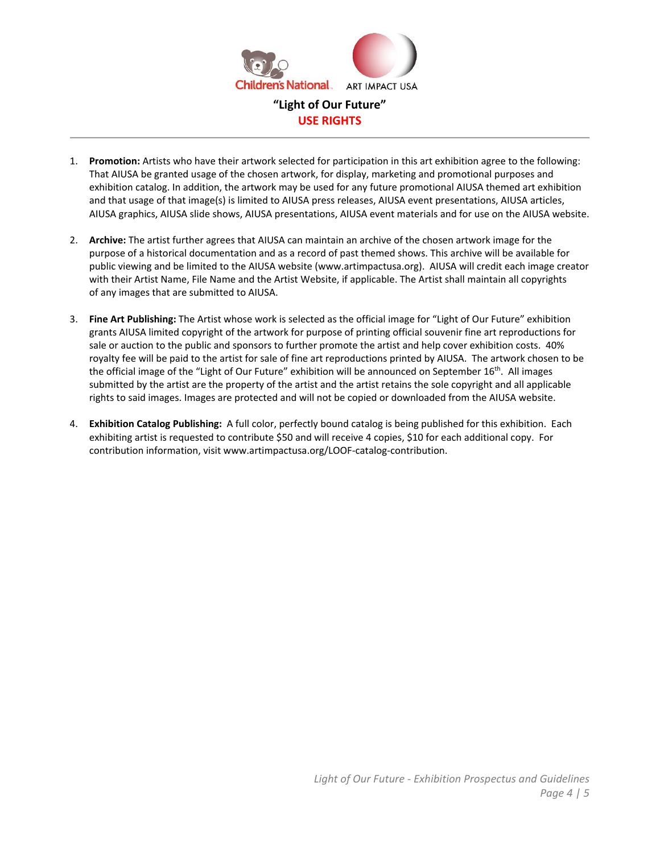

- 1. **Promotion:** Artists who have their artwork selected for participation in this art exhibition agree to the following: That AIUSA be granted usage of the chosen artwork, for display, marketing and promotional purposes and exhibition catalog. In addition, the artwork may be used for any future promotional AIUSA themed art exhibition and that usage of that image(s) is limited to AIUSA press releases, AIUSA event presentations, AIUSA articles, AIUSA graphics, AIUSA slide shows, AIUSA presentations, AIUSA event materials and for use on the AIUSA website.
- 2. **Archive:** The artist further agrees that AIUSA can maintain an archive of the chosen artwork image for the purpose of a historical documentation and as a record of past themed shows. This archive will be available for public viewing and be limited to the AIUSA website (www.artimpactusa.org). AIUSA will credit each image creator with their Artist Name, File Name and the Artist Website, if applicable. The Artist shall maintain all copyrights of any images that are submitted to AIUSA.
- 3. **Fine Art Publishing:** The Artist whose work is selected as the official image for "Light of Our Future" exhibition grants AIUSA limited copyright of the artwork for purpose of printing official souvenir fine art reproductions for sale or auction to the public and sponsors to further promote the artist and help cover exhibition costs. 40% royalty fee will be paid to the artist for sale of fine art reproductions printed by AIUSA. The artwork chosen to be the official image of the "Light of Our Future" exhibition will be announced on September 16<sup>th</sup>. All images submitted by the artist are the property of the artist and the artist retains the sole copyright and all applicable rights to said images. Images are protected and will not be copied or downloaded from the AIUSA website.
- 4. **Exhibition Catalog Publishing:** A full color, perfectly bound catalog is being published for this exhibition. Each exhibiting artist is requested to contribute \$50 and will receive 4 copies, \$10 for each additional copy. For contribution information, visit www.artimpactusa.org/LOOF‐catalog‐contribution.